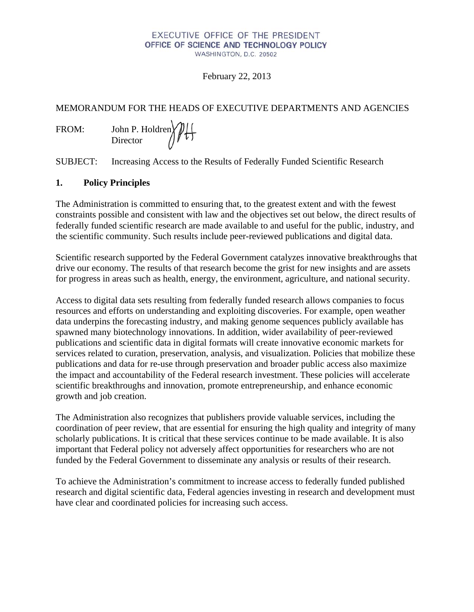#### EXECUTIVE OFFICE OF THE PRESIDENT OFFICE OF SCIENCE AND TECHNOLOGY POLICY WASHINGTON, D.C. 20502

February 22, 2013

# MEMORANDUM FOR THE HEADS OF EXECUTIVE DEPARTMENTS AND AGENCIES

FROM: John P. Holdren Director

SUBJECT: Increasing Access to the Results of Federally Funded Scientific Research

# **1. Policy Principles**

The Administration is committed to ensuring that, to the greatest extent and with the fewest constraints possible and consistent with law and the objectives set out below, the direct results of federally funded scientific research are made available to and useful for the public, industry, and the scientific community. Such results include peer-reviewed publications and digital data.

Scientific research supported by the Federal Government catalyzes innovative breakthroughs that drive our economy. The results of that research become the grist for new insights and are assets for progress in areas such as health, energy, the environment, agriculture, and national security.

Access to digital data sets resulting from federally funded research allows companies to focus resources and efforts on understanding and exploiting discoveries. For example, open weather data underpins the forecasting industry, and making genome sequences publicly available has spawned many biotechnology innovations. In addition, wider availability of peer-reviewed publications and scientific data in digital formats will create innovative economic markets for services related to curation, preservation, analysis, and visualization. Policies that mobilize these publications and data for re-use through preservation and broader public access also maximize the impact and accountability of the Federal research investment. These policies will accelerate scientific breakthroughs and innovation, promote entrepreneurship, and enhance economic growth and job creation.

The Administration also recognizes that publishers provide valuable services, including the coordination of peer review, that are essential for ensuring the high quality and integrity of many scholarly publications. It is critical that these services continue to be made available. It is also important that Federal policy not adversely affect opportunities for researchers who are not funded by the Federal Government to disseminate any analysis or results of their research.

To achieve the Administration's commitment to increase access to federally funded published research and digital scientific data, Federal agencies investing in research and development must have clear and coordinated policies for increasing such access.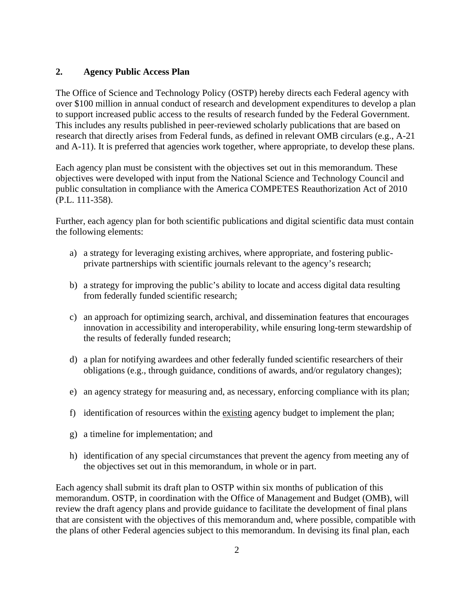## **2. Agency Public Access Plan**

The Office of Science and Technology Policy (OSTP) hereby directs each Federal agency with over \$100 million in annual conduct of research and development expenditures to develop a plan to support increased public access to the results of research funded by the Federal Government. This includes any results published in peer-reviewed scholarly publications that are based on research that directly arises from Federal funds, as defined in relevant OMB circulars (e.g., A-21 and A-11). It is preferred that agencies work together, where appropriate, to develop these plans.

Each agency plan must be consistent with the objectives set out in this memorandum. These objectives were developed with input from the National Science and Technology Council and public consultation in compliance with the America COMPETES Reauthorization Act of 2010 (P.L. 111-358).

Further, each agency plan for both scientific publications and digital scientific data must contain the following elements:

- a) a strategy for leveraging existing archives, where appropriate, and fostering publicprivate partnerships with scientific journals relevant to the agency's research;
- b) a strategy for improving the public's ability to locate and access digital data resulting from federally funded scientific research;
- c) an approach for optimizing search, archival, and dissemination features that encourages innovation in accessibility and interoperability, while ensuring long-term stewardship of the results of federally funded research;
- d) a plan for notifying awardees and other federally funded scientific researchers of their obligations (e.g., through guidance, conditions of awards, and/or regulatory changes);
- e) an agency strategy for measuring and, as necessary, enforcing compliance with its plan;
- f) identification of resources within the existing agency budget to implement the plan;
- g) a timeline for implementation; and
- h) identification of any special circumstances that prevent the agency from meeting any of the objectives set out in this memorandum, in whole or in part.

Each agency shall submit its draft plan to OSTP within six months of publication of this memorandum. OSTP, in coordination with the Office of Management and Budget (OMB), will review the draft agency plans and provide guidance to facilitate the development of final plans that are consistent with the objectives of this memorandum and, where possible, compatible with the plans of other Federal agencies subject to this memorandum. In devising its final plan, each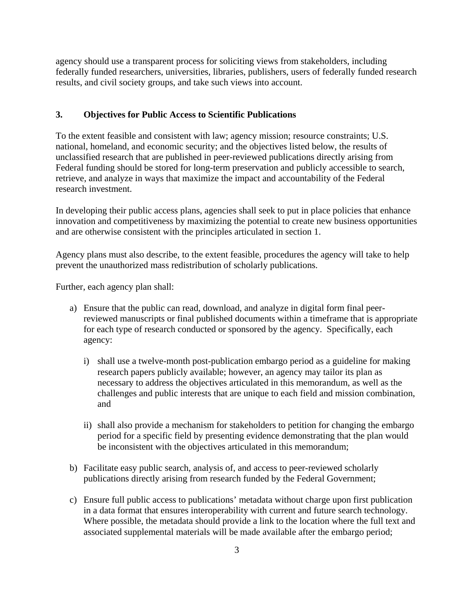agency should use a transparent process for soliciting views from stakeholders, including federally funded researchers, universities, libraries, publishers, users of federally funded research results, and civil society groups, and take such views into account.

## **3. Objectives for Public Access to Scientific Publications**

To the extent feasible and consistent with law; agency mission; resource constraints; U.S. national, homeland, and economic security; and the objectives listed below, the results of unclassified research that are published in peer-reviewed publications directly arising from Federal funding should be stored for long-term preservation and publicly accessible to search, retrieve, and analyze in ways that maximize the impact and accountability of the Federal research investment.

In developing their public access plans, agencies shall seek to put in place policies that enhance innovation and competitiveness by maximizing the potential to create new business opportunities and are otherwise consistent with the principles articulated in section 1.

Agency plans must also describe, to the extent feasible, procedures the agency will take to help prevent the unauthorized mass redistribution of scholarly publications.

Further, each agency plan shall:

- a) Ensure that the public can read, download, and analyze in digital form final peerreviewed manuscripts or final published documents within a timeframe that is appropriate for each type of research conducted or sponsored by the agency. Specifically, each agency:
	- i) shall use a twelve-month post-publication embargo period as a guideline for making research papers publicly available; however, an agency may tailor its plan as necessary to address the objectives articulated in this memorandum, as well as the challenges and public interests that are unique to each field and mission combination, and
	- ii) shall also provide a mechanism for stakeholders to petition for changing the embargo period for a specific field by presenting evidence demonstrating that the plan would be inconsistent with the objectives articulated in this memorandum;
- b) Facilitate easy public search, analysis of, and access to peer-reviewed scholarly publications directly arising from research funded by the Federal Government;
- c) Ensure full public access to publications' metadata without charge upon first publication in a data format that ensures interoperability with current and future search technology. Where possible, the metadata should provide a link to the location where the full text and associated supplemental materials will be made available after the embargo period;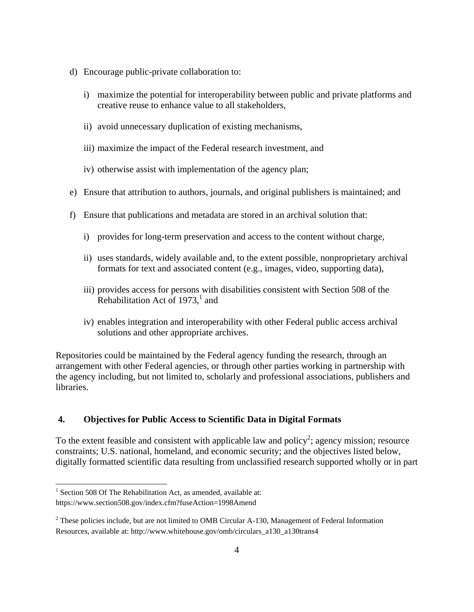- d) Encourage public-private collaboration to:
	- i) maximize the potential for interoperability between public and private platforms and creative reuse to enhance value to all stakeholders,
	- ii) avoid unnecessary duplication of existing mechanisms,
	- iii) maximize the impact of the Federal research investment, and
	- iv) otherwise assist with implementation of the agency plan;
- e) Ensure that attribution to authors, journals, and original publishers is maintained; and
- f) Ensure that publications and metadata are stored in an archival solution that:
	- i) provides for long-term preservation and access to the content without charge,
	- ii) uses standards, widely available and, to the extent possible, nonproprietary archival formats for text and associated content (e.g., images, video, supporting data),
	- iii) provides access for persons with disabilities consistent with Section 508 of the Rehabilitation Act of  $1973$ , and
	- iv) enables integration and interoperability with other Federal public access archival solutions and other appropriate archives.

Repositories could be maintained by the Federal agency funding the research, through an arrangement with other Federal agencies, or through other parties working in partnership with the agency including, but not limited to, scholarly and professional associations, publishers and libraries.

## **4. Objectives for Public Access to Scientific Data in Digital Formats**

To the extent feasible and consistent with applicable law and policy<sup>2</sup>; agency mission; resource constraints; U.S. national, homeland, and economic security; and the objectives listed below, digitally formatted scientific data resulting from unclassified research supported wholly or in part

 $1$  Section 508 Of The Rehabilitation Act, as amended, available at: https://www.section508.gov/index.cfm?fuseAction=1998Amend

 $2$  These policies include, but are not limited to OMB Circular A-130, Management of Federal Information Resources, available at: http://www.whitehouse.gov/omb/circulars\_a130\_a130trans4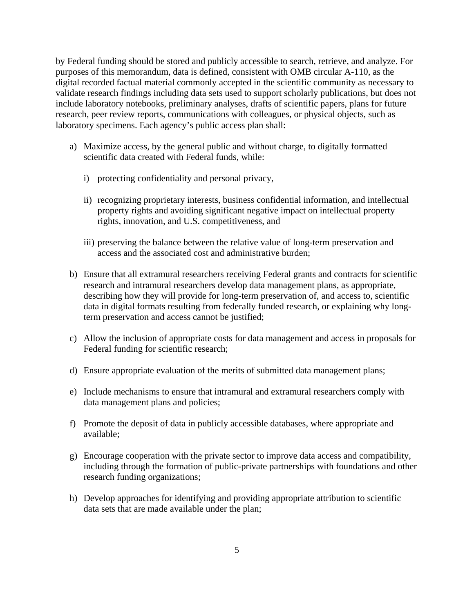by Federal funding should be stored and publicly accessible to search, retrieve, and analyze. For purposes of this memorandum, data is defined, consistent with OMB circular A-110, as the digital recorded factual material commonly accepted in the scientific community as necessary to validate research findings including data sets used to support scholarly publications, but does not include laboratory notebooks, preliminary analyses, drafts of scientific papers, plans for future research, peer review reports, communications with colleagues, or physical objects, such as laboratory specimens. Each agency's public access plan shall:

- a) Maximize access, by the general public and without charge, to digitally formatted scientific data created with Federal funds, while:
	- i) protecting confidentiality and personal privacy,
	- ii) recognizing proprietary interests, business confidential information, and intellectual property rights and avoiding significant negative impact on intellectual property rights, innovation, and U.S. competitiveness, and
	- iii) preserving the balance between the relative value of long-term preservation and access and the associated cost and administrative burden;
- b) Ensure that all extramural researchers receiving Federal grants and contracts for scientific research and intramural researchers develop data management plans, as appropriate, describing how they will provide for long-term preservation of, and access to, scientific data in digital formats resulting from federally funded research, or explaining why longterm preservation and access cannot be justified;
- c) Allow the inclusion of appropriate costs for data management and access in proposals for Federal funding for scientific research;
- d) Ensure appropriate evaluation of the merits of submitted data management plans;
- e) Include mechanisms to ensure that intramural and extramural researchers comply with data management plans and policies;
- f) Promote the deposit of data in publicly accessible databases, where appropriate and available;
- g) Encourage cooperation with the private sector to improve data access and compatibility, including through the formation of public-private partnerships with foundations and other research funding organizations;
- h) Develop approaches for identifying and providing appropriate attribution to scientific data sets that are made available under the plan;